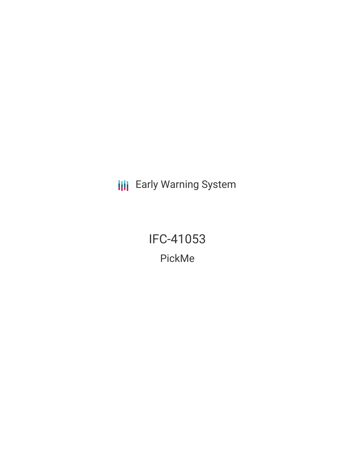**III** Early Warning System

IFC-41053 PickMe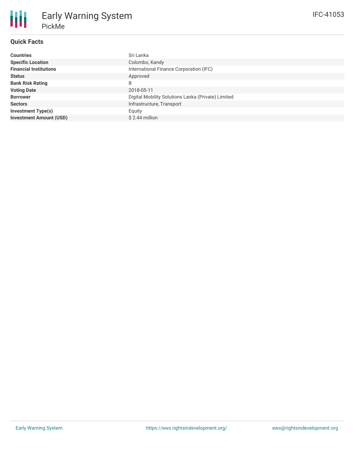# **Quick Facts**

| <b>Countries</b>               | Sri Lanka                                          |
|--------------------------------|----------------------------------------------------|
| <b>Specific Location</b>       | Colombo, Kandy                                     |
| <b>Financial Institutions</b>  | International Finance Corporation (IFC)            |
| <b>Status</b>                  | Approved                                           |
| <b>Bank Risk Rating</b>        | B                                                  |
| <b>Voting Date</b>             | 2018-05-11                                         |
| <b>Borrower</b>                | Digital Mobility Solutions Lanka (Private) Limited |
| <b>Sectors</b>                 | Infrastructure, Transport                          |
| <b>Investment Type(s)</b>      | Equity                                             |
| <b>Investment Amount (USD)</b> | $$2.44$ million                                    |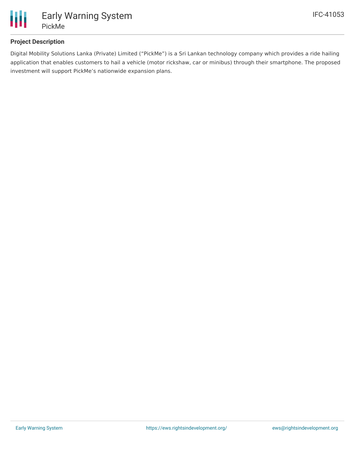

## **Project Description**

Digital Mobility Solutions Lanka (Private) Limited ("PickMe") is a Sri Lankan technology company which provides a ride hailing application that enables customers to hail a vehicle (motor rickshaw, car or minibus) through their smartphone. The proposed investment will support PickMe's nationwide expansion plans.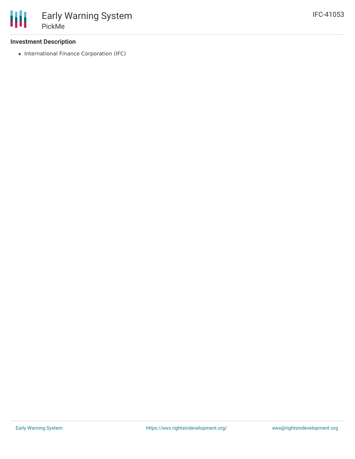#### **Investment Description**

• International Finance Corporation (IFC)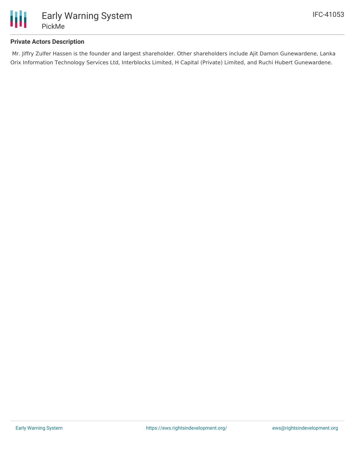

### **Private Actors Description**

Mr. Jiffry Zulfer Hassen is the founder and largest shareholder. Other shareholders include Ajit Damon Gunewardene, Lanka Orix Information Technology Services Ltd, Interblocks Limited, H Capital (Private) Limited, and Ruchi Hubert Gunewardene.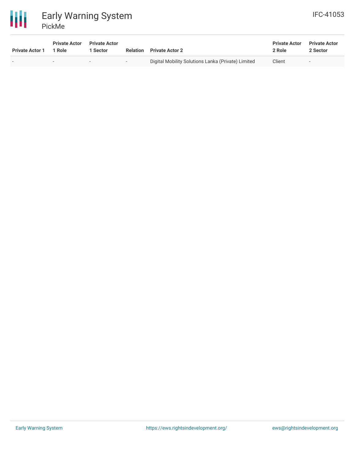

| <b>Private Actor 1</b> | <b>Private Actor</b><br>1 Role | <b>Private Actor</b><br>1 Sector | Relation | <b>Private Actor 2</b>                             | <b>Private Actor</b><br>2 Role | <b>Private Actor</b><br>2 Sector |
|------------------------|--------------------------------|----------------------------------|----------|----------------------------------------------------|--------------------------------|----------------------------------|
| $\sim$                 | -                              |                                  | $\sim$   | Digital Mobility Solutions Lanka (Private) Limited | Client                         |                                  |